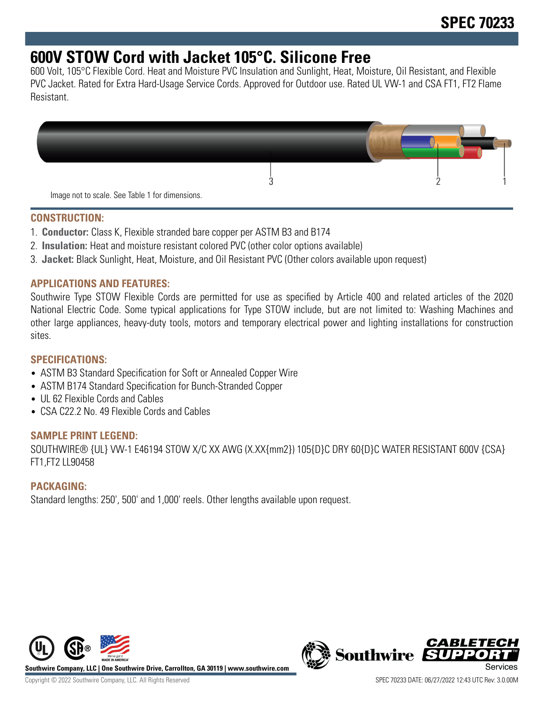# **600V STOW Cord with Jacket 105°C. Silicone Free**

600 Volt, 105°C Flexible Cord. Heat and Moisture PVC Insulation and Sunlight, Heat, Moisture, Oil Resistant, and Flexible PVC Jacket. Rated for Extra Hard-Usage Service Cords. Approved for Outdoor use. Rated UL VW-1 and CSA FT1, FT2 Flame Resistant.



#### **CONSTRUCTION:**

- 1. **Conductor:** Class K, Flexible stranded bare copper per ASTM B3 and B174
- 2. **Insulation:** Heat and moisture resistant colored PVC (other color options available)
- 3. **Jacket:** Black Sunlight, Heat, Moisture, and Oil Resistant PVC (Other colors available upon request)

## **APPLICATIONS AND FEATURES:**

Southwire Type STOW Flexible Cords are permitted for use as specified by Article 400 and related articles of the 2020 National Electric Code. Some typical applications for Type STOW include, but are not limited to: Washing Machines and other large appliances, heavy-duty tools, motors and temporary electrical power and lighting installations for construction sites.

# **SPECIFICATIONS:**

- ASTM B3 Standard Specification for Soft or Annealed Copper Wire
- ASTM B174 Standard Specification for Bunch-Stranded Copper
- UL 62 Flexible Cords and Cables
- CSA C22.2 No. 49 Flexible Cords and Cables

#### **SAMPLE PRINT LEGEND:**

SOUTHWIRE® {UL} VW-1 E46194 STOW X/C XX AWG (X.XX{mm2}) 105{D}C DRY 60{D}C WATER RESISTANT 600V {CSA} FT1,FT2 LL90458

# **PACKAGING:**

Standard lengths: 250', 500' and 1,000' reels. Other lengths available upon request.



**Southwire Company, LLC | One Southwire Drive, Carrollton, GA 30119 | www.southwire.com**

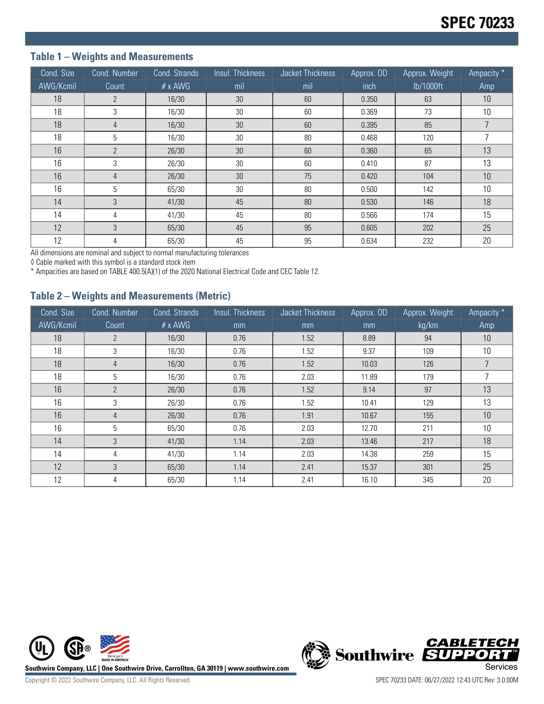## **Table 1 – Weights and Measurements**

| Cond. Size | Cond. Number   | Cond. Strands  | Insul. Thickness | Jacket Thickness | Approx. OD | Approx. Weight | Ampacity * |
|------------|----------------|----------------|------------------|------------------|------------|----------------|------------|
| AWG/Kcmil  | Count          | $# \times$ AWG | mil              | mil              | inch       | lb/1000ft      | Amp        |
| 18         | $\overline{2}$ | 16/30          | 30               | 60               | 0.350      | 63             | 10         |
| 18         | 3              | 16/30          | 30               | 60               | 0.369      | 73             | 10         |
| 18         | 4              | 16/30          | 30               | 60               | 0.395      | 85             | 7          |
| 18         | 5              | 16/30          | 30               | 80               | 0.468      | 120            |            |
| 16         | $\mathfrak{p}$ | 26/30          | 30               | 60               | 0.360      | 65             | 13         |
| 16         | 3              | 26/30          | 30               | 60               | 0.410      | 87             | 13         |
| 16         | 4              | 26/30          | 30               | 75               | 0.420      | 104            | 10         |
| 16         | 5              | 65/30          | 30               | 80               | 0.500      | 142            | 10         |
| 14         | 3              | 41/30          | 45               | 80               | 0.530      | 146            | 18         |
| 14         | 4              | 41/30          | 45               | 80               | 0.566      | 174            | 15         |
| 12         | 3              | 65/30          | 45               | 95               | 0.605      | 202            | 25         |
| 12         | 4              | 65/30          | 45               | 95               | 0.634      | 232            | 20         |

All dimensions are nominal and subject to normal manufacturing tolerances

◊ Cable marked with this symbol is a standard stock item

\* Ampacities are based on TABLE 400.5(A)(1) of the 2020 National Electrical Code and CEC Table 12.

#### **Table 2 – Weights and Measurements (Metric)**

| Cond. Size | Cond. Number   | Cond. Strands  | Insul. Thickness | Jacket Thickness | Approx. OD | Approx. Weight | Ampacity * |
|------------|----------------|----------------|------------------|------------------|------------|----------------|------------|
| AWG/Kcmil  | Count          | $# \times$ AWG | mm               | mm               | mm         | kg/km          | Amp        |
| 18         | $\overline{2}$ | 16/30          | 0.76             | 1.52             | 8.89       | 94             | 10         |
| 18         | 3              | 16/30          | 0.76             | 1.52             | 9.37       | 109            | 10         |
| 18         | 4              | 16/30          | 0.76             | 1.52             | 10.03      | 126            |            |
| 18         | 5              | 16/30          | 0.76             | 2.03             | 11.89      | 179            |            |
| 16         | $\overline{2}$ | 26/30          | 0.76             | 1.52             | 9.14       | 97             | 13         |
| 16         | 3              | 26/30          | 0.76             | 1.52             | 10.41      | 129            | 13         |
| 16         | 4              | 26/30          | 0.76             | 1.91             | 10.67      | 155            | 10         |
| 16         | 5              | 65/30          | 0.76             | 2.03             | 12.70      | 211            | 10         |
| 14         | 3              | 41/30          | 1.14             | 2.03             | 13.46      | 217            | 18         |
| 14         | 4              | 41/30          | 1.14             | 2.03             | 14.38      | 259            | 15         |
| 12         | 3              | 65/30          | 1.14             | 2.41             | 15.37      | 301            | 25         |
| 12         | 4              | 65/30          | 1.14             | 2.41             | 16.10      | 345            | 20         |